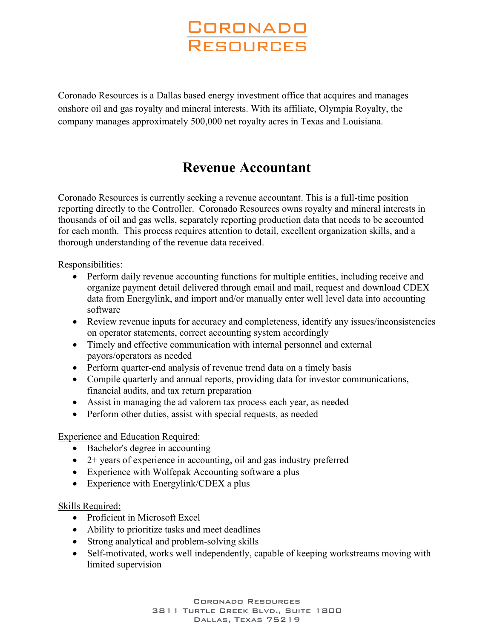# **CORONADO** RESOURCES

Coronado Resources is a Dallas based energy investment office that acquires and manages onshore oil and gas royalty and mineral interests. With its affiliate, Olympia Royalty, the company manages approximately 500,000 net royalty acres in Texas and Louisiana.

# **Revenue Accountant**

Coronado Resources is currently seeking a revenue accountant. This is a full-time position reporting directly to the Controller. Coronado Resources owns royalty and mineral interests in thousands of oil and gas wells, separately reporting production data that needs to be accounted for each month. This process requires attention to detail, excellent organization skills, and a thorough understanding of the revenue data received.

#### Responsibilities:

- Perform daily revenue accounting functions for multiple entities, including receive and organize payment detail delivered through email and mail, request and download CDEX data from Energylink, and import and/or manually enter well level data into accounting software
- Review revenue inputs for accuracy and completeness, identify any issues/inconsistencies on operator statements, correct accounting system accordingly
- Timely and effective communication with internal personnel and external payors/operators as needed
- Perform quarter-end analysis of revenue trend data on a timely basis
- Compile quarterly and annual reports, providing data for investor communications, financial audits, and tax return preparation
- Assist in managing the ad valorem tax process each year, as needed
- Perform other duties, assist with special requests, as needed

### Experience and Education Required:

- Bachelor's degree in accounting
- 2+ years of experience in accounting, oil and gas industry preferred
- Experience with Wolfepak Accounting software a plus
- Experience with Energylink/CDEX a plus

#### Skills Required:

- Proficient in Microsoft Excel
- Ability to prioritize tasks and meet deadlines
- Strong analytical and problem-solving skills
- Self-motivated, works well independently, capable of keeping workstreams moving with limited supervision

Coronado Resources 3811 Turtle Creek Blvd., Suite 1800 Dallas, Texas 75219